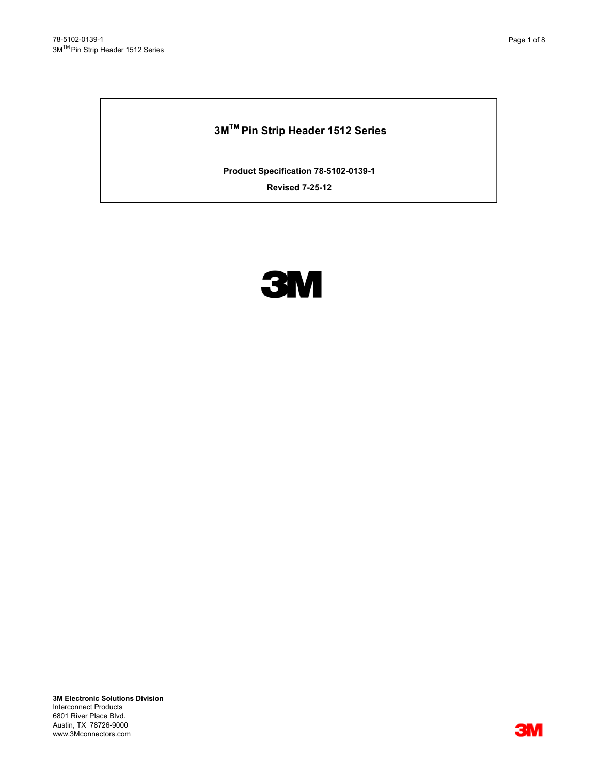# **3MTM Pin Strip Header 1512 Series**

**Product Specification 78-5102-0139-1**

**Revised 7-25-12**



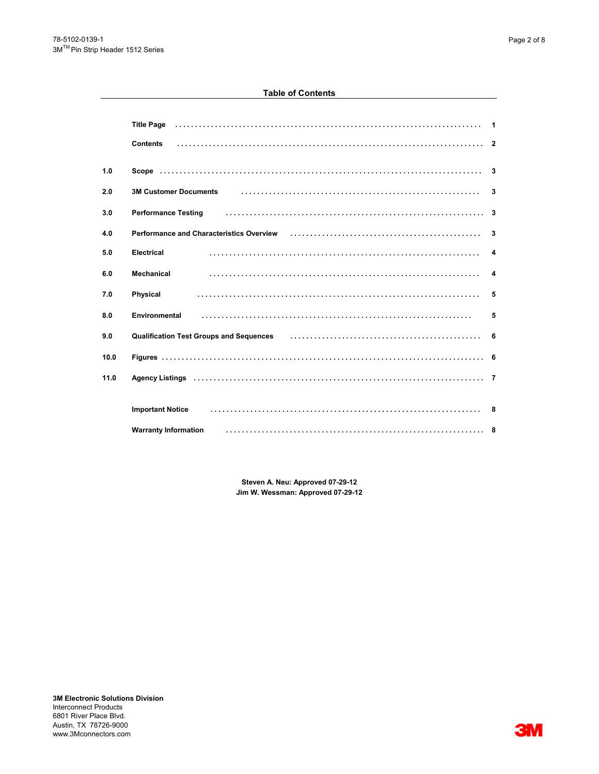# **Table of Contents**

|      | <b>Title Page</b><br><b>Contents</b>                                                                                                                                                                                                                                                                                                                                                                                                                                                                                                                               |                         |
|------|--------------------------------------------------------------------------------------------------------------------------------------------------------------------------------------------------------------------------------------------------------------------------------------------------------------------------------------------------------------------------------------------------------------------------------------------------------------------------------------------------------------------------------------------------------------------|-------------------------|
| 1.0  |                                                                                                                                                                                                                                                                                                                                                                                                                                                                                                                                                                    | $\overline{\mathbf{3}}$ |
| 2.0  | <b>3M Customer Documents</b>                                                                                                                                                                                                                                                                                                                                                                                                                                                                                                                                       | 3                       |
| 3.0  | $\begin{minipage}{0.9\linewidth} \begin{tabular}{l} \hline \multicolumn{3}{c}{\textbf{0.9\linewidth}} \end{tabular} \end{minipage} \begin{minipage}{0.9\linewidth} \begin{tabular}{l} \hline \multicolumn{3}{c}{\textbf{0.9\linewidth}} \end{tabular} \end{minipage} \begin{minipage}{0.9\linewidth} \begin{tabular}{l} \hline \multicolumn{3}{c}{\textbf{0.9\linewidth}} \end{tabular} \end{minipage} \begin{minipage}{0.9\linewidth} \end{minipage} \begin{minipage}{0.9\linewidth} \end{minipage} \begin{minipage}{0.9\linewidth$<br><b>Performance Testing</b> | 3                       |
| 4.0  | Performance and Characteristics Overview (etc.) (etc.) (etc.) (etc.) (etc.) (etc.) (etc.) (etc.) (etc.) (etc.)                                                                                                                                                                                                                                                                                                                                                                                                                                                     | 3                       |
| 5.0  | <b>Electrical</b>                                                                                                                                                                                                                                                                                                                                                                                                                                                                                                                                                  | 4                       |
| 6.0  | Mechanical                                                                                                                                                                                                                                                                                                                                                                                                                                                                                                                                                         | $\overline{\mathbf{A}}$ |
| 7.0  | <b>Physical</b>                                                                                                                                                                                                                                                                                                                                                                                                                                                                                                                                                    | 5                       |
| 8.0  | Environmental                                                                                                                                                                                                                                                                                                                                                                                                                                                                                                                                                      | 5                       |
| 9.0  | Qualification Test Groups and Sequences (and accommodation of the Calification Test Groups and Sequences                                                                                                                                                                                                                                                                                                                                                                                                                                                           | 6                       |
| 10.0 |                                                                                                                                                                                                                                                                                                                                                                                                                                                                                                                                                                    |                         |
| 11.0 |                                                                                                                                                                                                                                                                                                                                                                                                                                                                                                                                                                    |                         |
|      | <b>Important Notice</b>                                                                                                                                                                                                                                                                                                                                                                                                                                                                                                                                            |                         |
|      | <b>Warranty Information</b>                                                                                                                                                                                                                                                                                                                                                                                                                                                                                                                                        |                         |

**Jim W. Wessman: Approved 07-29-12 Steven A. Neu: Approved 07-29-12**

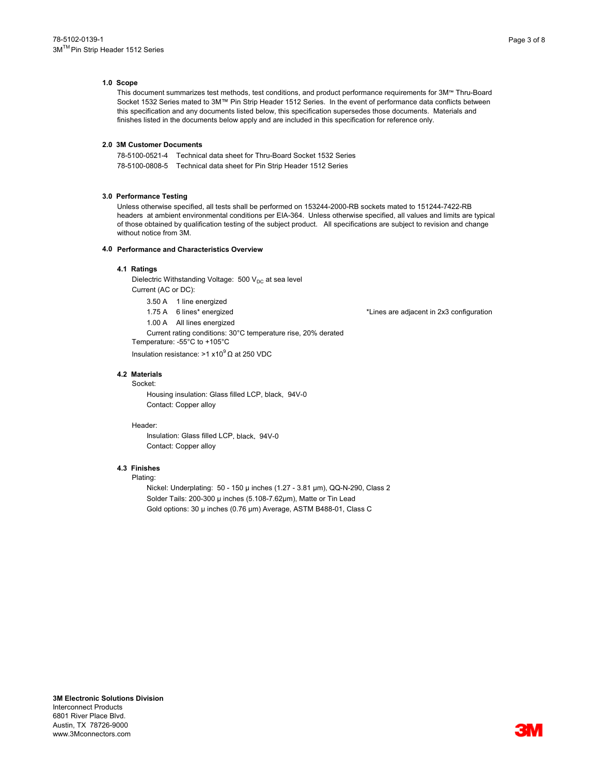#### **1.0 Scope**

This document summarizes test methods, test conditions, and product performance requirements for 3M™ Thru-Board Socket 1532 Series mated to 3M™ Pin Strip Header 1512 Series. In the event of performance data conflicts between this specification and any documents listed below, this specification supersedes those documents. Materials and finishes listed in the documents below apply and are included in this specification for reference only.

## **2.0 3M Customer Documents**

78-5100-0521-4 Technical data sheet for Thru-Board Socket 1532 Series 78-5100-0808-5 Technical data sheet for Pin Strip Header 1512 Series

## **3.0 Performance Testing**

Unless otherwise specified, all tests shall be performed on 153244-2000-RB sockets mated to 151244-7422-RB headers at ambient environmental conditions per EIA-364. Unless otherwise specified, all values and limits are typical of those obtained by qualification testing of the subject product. All specifications are subject to revision and change without notice from 3M.

#### **4.0 Performance and Characteristics Overview**

## **4.1 Ratings**

Dielectric Withstanding Voltage:  $500$  V<sub>DC</sub> at sea level Current (AC or DC):

3.50 A 1 line energized

1.00 A All lines energized Current rating conditions: 30°C temperature rise, 20% derated Temperature: -55°C to +105°C

Insulation resistance: >1 x10 $9$  Ω at 250 VDC

## **4.2 Materials**

Socket: Housing insulation: Glass filled LCP, black, 94V-0 Contact: Copper alloy

#### Header:

Insulation: Glass filled LCP, black, 94V-0 Contact: Copper alloy

# **4.3 Finishes**

# Plating:

Nickel: Underplating: 50 - 150 µ inches (1.27 - 3.81 µm), QQ-N-290, Class 2 Solder Tails: 200-300 µ inches (5.108-7.62µm), Matte or Tin Lead Gold options: 30 µ inches (0.76 µm) Average, ASTM B488-01, Class C

1.75 A 6 lines\* energized **\*Lines** are adjacent in 2x3 configuration

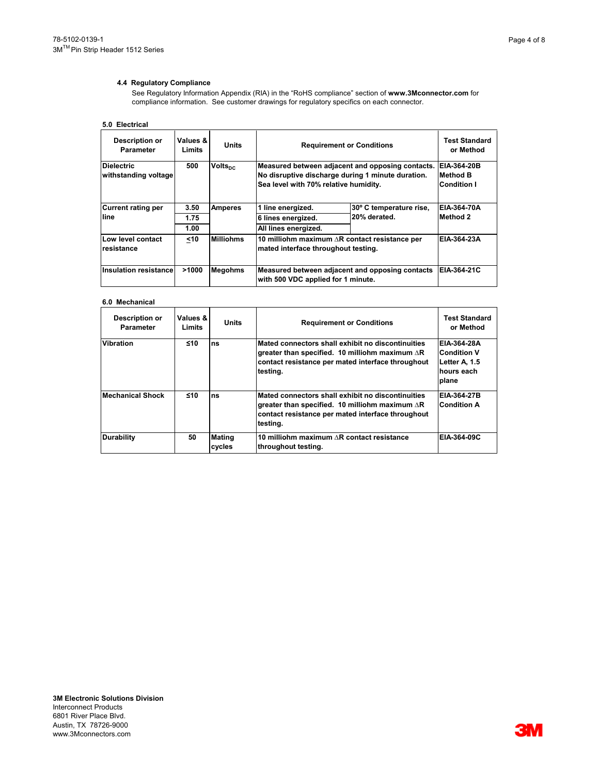# **4.4 Regulatory Compliance**

See Regulatory Information Appendix (RIA) in the "RoHS compliance" section of **www.3Mconnector.com** for compliance information. See customer drawings for regulatory specifics on each connector.

# **5.0 Electrical**

| Description or<br><b>Parameter</b> | Values &<br>Limits | <b>Units</b>        | <b>Requirement or Conditions</b>                                                      |                         | Test Standard<br>or Method |
|------------------------------------|--------------------|---------------------|---------------------------------------------------------------------------------------|-------------------------|----------------------------|
| <b>Dielectric</b>                  | 500                | Volts <sub>nc</sub> | Measured between adjacent and opposing contacts.                                      |                         | EIA-364-20B                |
| withstanding voltage               |                    |                     | No disruptive discharge during 1 minute duration.                                     |                         | Method B                   |
|                                    |                    |                     | Sea level with 70% relative humidity.                                                 |                         | <b>Condition I</b>         |
| <b>Current rating per</b>          | 3.50               | <b>Amperes</b>      | 1 line energized.                                                                     | 30° C temperature rise, | EIA-364-70A                |
| line                               | 1.75               |                     | 6 lines energized.                                                                    | 20% derated.            | Method 2                   |
|                                    | 1.00               |                     | All lines energized.                                                                  |                         |                            |
| Low level contact<br>resistance    | $10$               | <b>Milliohms</b>    | 10 milliohm maximum AR contact resistance per<br>mated interface throughout testing.  |                         | EIA-364-23A                |
| <b>Insulation resistance</b>       | >1000              | <b>Megohms</b>      | Measured between adjacent and opposing contacts<br>with 500 VDC applied for 1 minute. |                         | EIA-364-21C                |

## **6.0 Mechanical**

| <b>Description or</b><br>Parameter | Values &<br>Limits | <b>Units</b>            | <b>Requirement or Conditions</b>                                                                                                                                             | <b>Test Standard</b><br>or Method                                         |
|------------------------------------|--------------------|-------------------------|------------------------------------------------------------------------------------------------------------------------------------------------------------------------------|---------------------------------------------------------------------------|
| <b>Vibration</b>                   | ≤10                | ns                      | Mated connectors shall exhibit no discontinuities<br>greater than specified. 10 milliohm maximum AR<br>contact resistance per mated interface throughout<br>testing.         | EIA-364-28A<br><b>Condition V</b><br>Letter A, 1.5<br>hours each<br>plane |
| <b>Mechanical Shock</b>            | $\leq 10$          | ns                      | Mated connectors shall exhibit no discontinuities<br>greater than specified. 10 milliohm maximum $\Delta$ R<br>contact resistance per mated interface throughout<br>testing. | EIA-364-27B<br><b>Condition A</b>                                         |
| <b>Durability</b>                  | 50                 | <b>Mating</b><br>cycles | 10 milliohm maximum AR contact resistance<br>throughout testing.                                                                                                             | EIA-364-09C                                                               |
|                                    |                    |                         |                                                                                                                                                                              |                                                                           |
| 3M Electronic Solutions Division   |                    |                         |                                                                                                                                                                              |                                                                           |

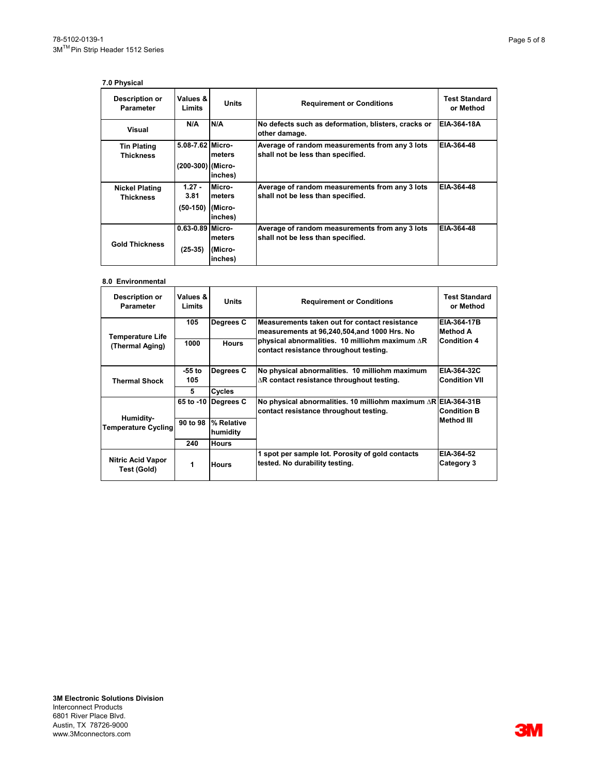# **7.0 Physical**

| <b>Description or</b><br><b>Parameter</b> | Values &<br>Limits                    | Units                                  | <b>Requirement or Conditions</b>                                                    | <b>Test Standard</b><br>or Method |
|-------------------------------------------|---------------------------------------|----------------------------------------|-------------------------------------------------------------------------------------|-----------------------------------|
| Visual                                    | N/A                                   | N/A                                    | No defects such as deformation, blisters, cracks or<br>other damage.                | EIA-364-18A                       |
| Tin Plating<br><b>Thickness</b>           | 5.08-7.62 Micro-<br>(200-300) (Micro- | meters<br>inches)                      | Average of random measurements from any 3 lots<br>shall not be less than specified. | EIA-364-48                        |
| <b>Nickel Plating</b><br><b>Thickness</b> | $1.27 -$<br>3.81<br>$(50-150)$        | Micro-<br>meters<br>(Micro-<br>inches) | Average of random measurements from any 3 lots<br>shall not be less than specified. | EIA-364-48                        |
| <b>Gold Thickness</b>                     | $0.63 - 0.89$ Micro-<br>$(25-35)$     | meters<br>(Micro-<br>inches)           | Average of random measurements from any 3 lots<br>shall not be less than specified. | EIA-364-48                        |

## **8.0 Environmental**

| Description or<br><b>Parameter</b>      | Values &<br>Limits                                                                                      | <b>Units</b>           | <b>Requirement or Conditions</b>                                                                 | <b>Test Standard</b><br>or Method |
|-----------------------------------------|---------------------------------------------------------------------------------------------------------|------------------------|--------------------------------------------------------------------------------------------------|-----------------------------------|
| Temperature Life                        | 105                                                                                                     | Degrees C              | Measurements taken out for contact resistance<br>measurements at 96,240,504,and 1000 Hrs. No     | EIA-364-17B<br>Method A           |
| (Thermal Aging)                         | 1000                                                                                                    | <b>Hours</b>           | physical abnormalities. 10 milliohm maximum $\Delta$ R<br>contact resistance throughout testing. | <b>Condition 4</b>                |
|                                         | $-55$ to                                                                                                | Degrees C              | No physical abnormalities. 10 milliohm maximum                                                   | EIA-364-32C                       |
| <b>Thermal Shock</b>                    | 105                                                                                                     |                        | $\Delta$ R contact resistance throughout testing.                                                | <b>Condition VII</b>              |
|                                         | 5                                                                                                       | Cycles                 |                                                                                                  |                                   |
|                                         | 65 to -10                                                                                               | Degrees C              | No physical abnormalities. 10 milliohm maximum $\triangle$ R EIA-364-31B                         |                                   |
|                                         |                                                                                                         |                        | contact resistance throughout testing.                                                           | <b>Condition B</b>                |
| Humidity-<br><b>Temperature Cycling</b> | 90 to 98                                                                                                | % Relative<br>humidity |                                                                                                  | Method III                        |
|                                         | 240                                                                                                     | <b>Hours</b>           |                                                                                                  |                                   |
| <b>Nitric Acid Vapor</b><br>Test (Gold) | 1 spot per sample lot. Porosity of gold contacts<br>tested. No durability testing.<br>1<br><b>Hours</b> |                        | EIA-364-52<br>Category 3                                                                         |                                   |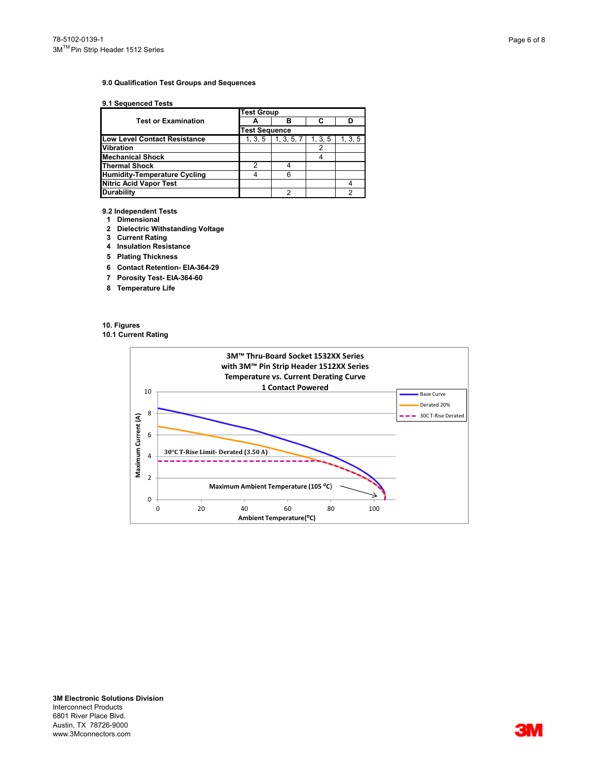## **9.0 Qualification Test Groups and Sequences**

## **9.1 Sequenced Tests**

|                                     | <b>Test Group</b>    |            |         |         |
|-------------------------------------|----------------------|------------|---------|---------|
| <b>Test or Examination</b>          |                      |            |         |         |
|                                     | <b>Test Sequence</b> |            |         |         |
| <b>Low Level Contact Resistance</b> | 1, 3, 5              | 1, 3, 5, 7 | 1, 3, 5 | 1, 3, 5 |
| <b>Vibration</b>                    |                      |            |         |         |
| <b>Mechanical Shock</b>             |                      |            |         |         |
| <b>Thermal Shock</b>                | 2                    |            |         |         |
| <b>Humidity-Temperature Cycling</b> |                      |            |         |         |
| <b>Nitric Acid Vapor Test</b>       |                      |            |         |         |
| <b>Durability</b>                   |                      |            |         |         |

**9.2 Independent Tests**

- **1 Dimensional**
- **2 Dielectric Withstanding Voltage**
- **3 Current Rating**
- **4 Insulation Resistance**
- **5 Plating Thickness**
- **6 Contact Retention- EIA-364-29**
- **7 Porosity Test- EIA-364-60**
- **8 Temperature Life**

**10. Figures**

**10.1 Current Rating**



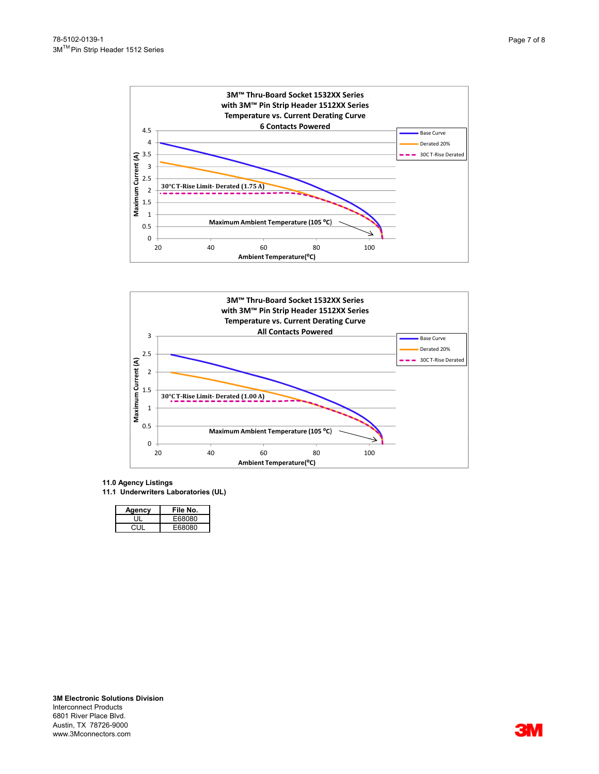



- **11.0 Agency Listings**
- **11.1 Underwriters Laboratories (UL)**

| Agency | File No. |
|--------|----------|
|        | E68080   |
| 70 H   | F68080   |